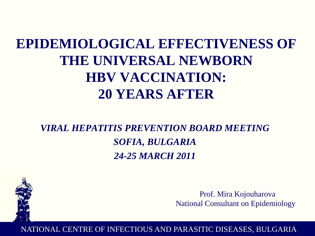# **EPIDEMIOLOGICAL EFFECTIVENESS OF THE UNIVERSAL NEWBORN HBV VACCINATION: 20 YEARS AFTER**

*VIRAL HEPATITIS PREVENTION BOARD MEETING SOFIA, BULGARIA 24-25 MARCH 2011*



Prof. Mira Kojouharova National Consultant on Epidemiology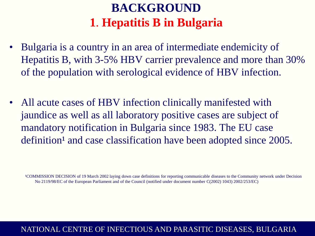## **BACKGROUND 1**. **Hepatitis B in Bulgaria**

- Bulgaria is a country in an area of intermediate endemicity of Hepatitis B, with 3-5% HBV carrier prevalence and more than 30% of the population with serological evidence of HBV infection.
- All acute cases of HBV infection clinically manifested with jaundice as well as all laboratory positive cases are subject of mandatory notification in Bulgaria since 1983. The EU case definition<sup>1</sup> and case classification have been adopted since 2005.

¹COMMISSION DECISION of 19 March 2002 laying down case definitions for reporting communicable diseases to the Community network under Decision No 2119/98/EC of the European Parliament and of the Council (notified under document number C(2002) 1043) 2002/253/EC)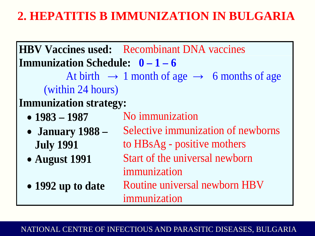## **2. HEPATITIS B IMMUNIZATION IN BULGARIA**

**HBV Vaccines used:** Recombinant DNA vaccines **Immunization Schedule: 0 – 1 – 6** At birth  $\rightarrow$  1 month of age  $\rightarrow$  6 months of age (within 24 hours) **Immunization strategy:** • **1983** – **1987** No immunization • **January 1988 –**  Selective immunization of newborns **July 1991** to HBsAg - positive mothers • **August 1991** Start of the universal newborn immunization • **1992 up to date** Routine universal newborn HBV immunization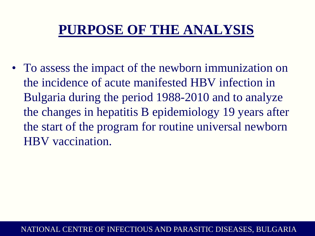# **PURPOSE OF THE ANALYSIS**

• To assess the impact of the newborn immunization on the incidence of acute manifested HBV infection in Bulgaria during the period 1988-2010 and to analyze the changes in hepatitis B epidemiology 19 years after the start of the program for routine universal newborn HBV vaccination.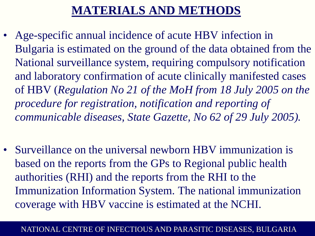## **MATERIALS AND METHODS**

- Age-specific annual incidence of acute HBV infection in Bulgaria is estimated on the ground of the data obtained from the National surveillance system, requiring compulsory notification and laboratory confirmation of acute clinically manifested cases of HBV (*Regulation No 21 of the MoH from 18 July 2005 on the procedure for registration, notification and reporting of communicable diseases, State Gazette, No 62 of 29 July 2005).*
- Surveillance on the universal newborn HBV immunization is based on the reports from the GPs to Regional public health authorities (RHI) and the reports from the RHI to the Immunization Information System. The national immunization coverage with HBV vaccine is estimated at the NCHI.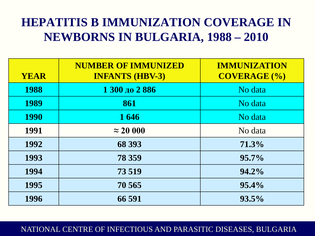## **HEPATITIS B IMMUNIZATION COVERAGE IN NEWBORNS IN BULGARIA, 1988 – 2010**

| <b>YEAR</b> | <b>NUMBER OF IMMUNIZED</b><br><b>INFANTS (HBV-3)</b> | <b>IMMUNIZATION</b><br><b>COVERAGE (%)</b> |
|-------------|------------------------------------------------------|--------------------------------------------|
| 1988        | 1 300 до 2 886                                       | No data                                    |
| 1989        | 861                                                  | No data                                    |
| <b>1990</b> | 1646                                                 | No data                                    |
| 1991        | $\approx$ 20 000                                     | No data                                    |
| 1992        | 68 393                                               | 71.3%                                      |
| 1993        | 78 359                                               | 95.7%                                      |
| 1994        | 73 519                                               | 94.2%                                      |
| 1995        | 70 565                                               | 95.4%                                      |
| 1996        | 66 591                                               | $93.5\%$                                   |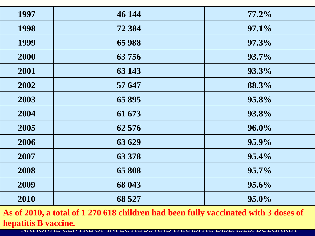| 1997 | 46 144 | $77.2\%$     |
|------|--------|--------------|
| 1998 | 72 384 | 97.1%        |
| 1999 | 65 988 | 97.3%        |
| 2000 | 63756  | <b>93.7%</b> |
| 2001 | 63 143 | 93.3%        |
| 2002 | 57 647 | 88.3%        |
| 2003 | 65 895 | 95.8%        |
| 2004 | 61 673 | 93.8%        |
| 2005 | 62 576 | 96.0%        |
| 2006 | 63 629 | 95.9%        |
| 2007 | 63 378 | 95.4%        |
| 2008 | 65 808 | 95.7%        |
| 2009 | 68 043 | 95.6%        |
| 2010 | 68 527 | 95.0%        |

**As of 2010, a total of 1 270 618 children had been fully vaccinated with 3 doses of hepatitis B vaccine.**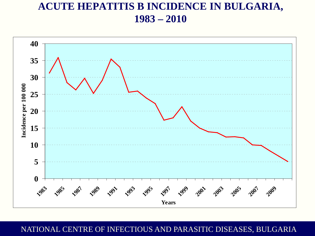### **ACUTE HEPATITIS B INCIDENCE IN BULGARIA, 1983 – 2010**

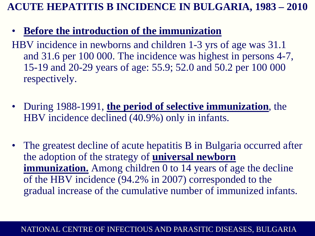### **ACUTE HEPATITIS B INCIDENCE IN BULGARIA, 1983 – 2010**

### • **Before the introduction of the immunization**

HBV incidence in newborns and children 1-3 yrs of age was 31.1 and 31.6 per 100 000. The incidence was highest in persons 4-7, 15-19 and 20-29 years of age: 55.9; 52.0 and 50.2 per 100 000 respectively.

- During 1988-1991, **the period of selective immunization**, the HBV incidence declined (40.9%) only in infants.
- The greatest decline of acute hepatitis B in Bulgaria occurred after the adoption of the strategy of **universal newborn immunization.** Among children 0 to 14 years of age the decline of the HBV incidence (94.2% in 2007) corresponded to the gradual increase of the cumulative number of immunized infants.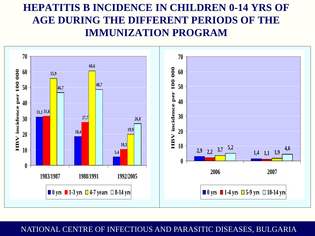### **HEPATITIS B INCIDENCE IN CHILDREN 0-14 YRS OF AGE DURING THE DIFFERENT PERIODS OF THE IMMUNIZATION PROGRAM**

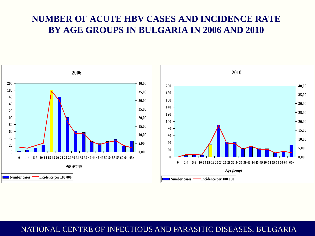### **NUMBER OF ACUTE HBV CASES AND INCIDENCE RATE BY AGE GROUPS IN BULGARIA IN 2006 AND 2010**

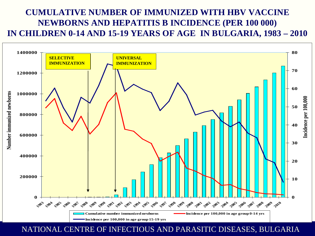### **CUMULATIVE NUMBER OF IMMUNIZED WITH HBV VACCINE NEWBORNS AND HEPATITIS B INCIDENCE (PER 100 000) IN CHILDREN 0-14 AND 15-19 YEARS OF AGE IN BULGARIA, 1983 – 2010**



**NATIONAL CENTRE OF INFECTIOUS AND PARASITIC DISEASES, BULGARIA**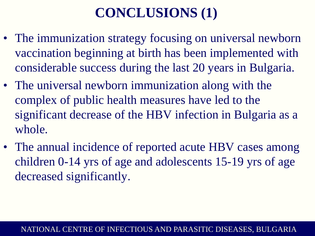# **CONCLUSIONS (1)**

- The immunization strategy focusing on universal newborn vaccination beginning at birth has been implemented with considerable success during the last 20 years in Bulgaria.
- The universal newborn immunization along with the complex of public health measures have led to the significant decrease of the HBV infection in Bulgaria as a whole.
- The annual incidence of reported acute HBV cases among children 0-14 yrs of age and adolescents 15-19 yrs of age decreased significantly.